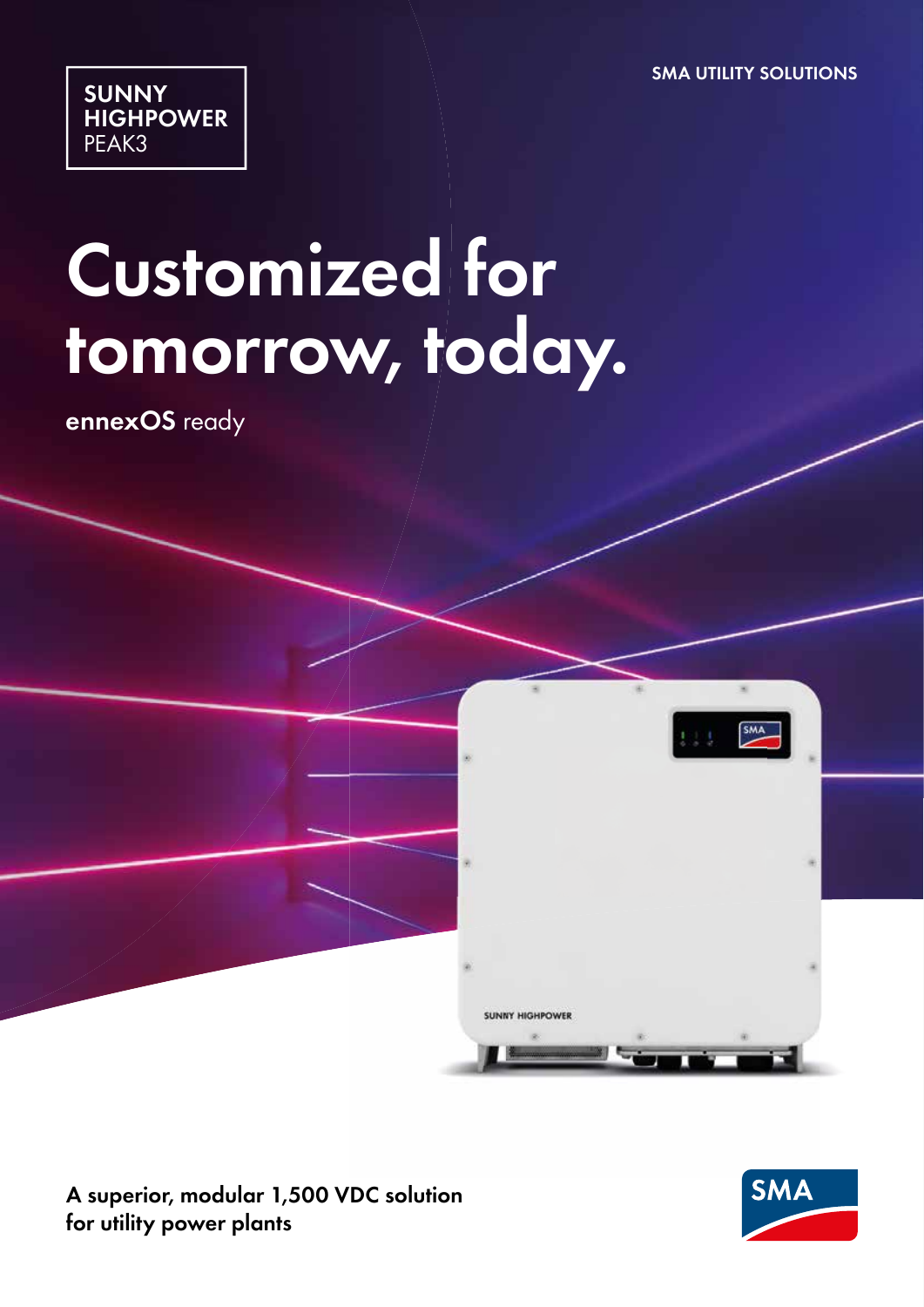**SMA UTILITY SOLUTIONS**



# **Customized for tomorrow, today.**

**ennexOS** ready



**A superior, modular 1,500 VDC solution for utility power plants**

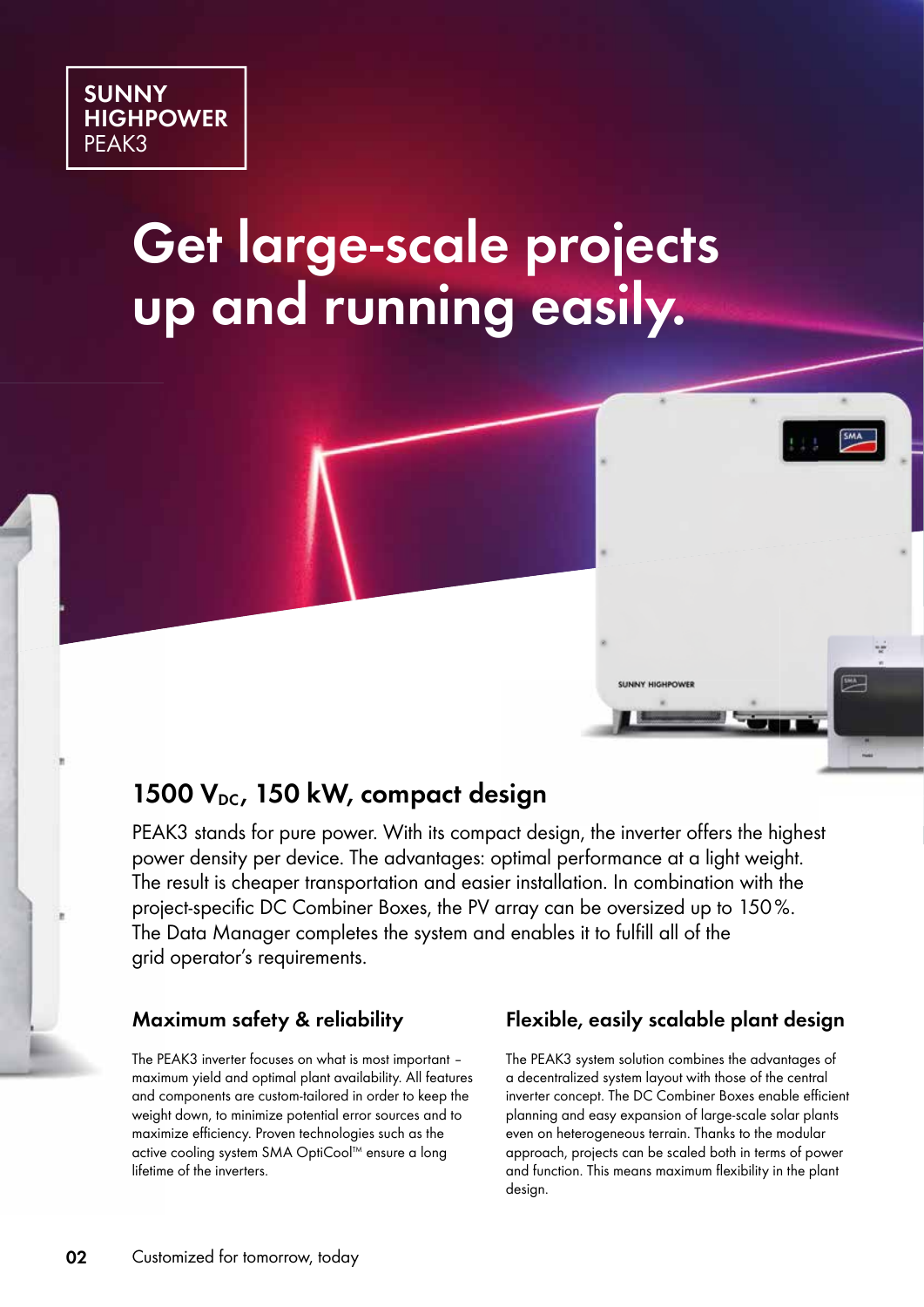

## **Get large-scale projects up and running easily.**

## **1500 VDC , 150 kW, compact design**

PEAK3 stands for pure power. With its compact design, the inverter offers the highest power density per device. The advantages: optimal performance at a light weight. The result is cheaper transportation and easier installation. In combination with the project-specific DC Combiner Boxes, the PV array can be oversized up to 150%. The Data Manager completes the system and enables it to fulfill all of the grid operator's requirements.

### **Maximum safety & reliability**

The PEAK3 inverter focuses on what is most important – maximum yield and optimal plant availability. All features and components are custom-tailored in order to keep the weight down, to minimize potential error sources and to maximize efficiency. Proven technologies such as the active cooling system SMA OptiCool™ ensure a long lifetime of the inverters.

### **Flexible, easily scalable plant design**

**SUNNY HIGHPOWE** 

吗

The PEAK3 system solution combines the advantages of a decentralized system layout with those of the central inverter concept. The DC Combiner Boxes enable efficient planning and easy expansion of large-scale solar plants even on heterogeneous terrain. Thanks to the modular approach, projects can be scaled both in terms of power and function. This means maximum flexibility in the plant design.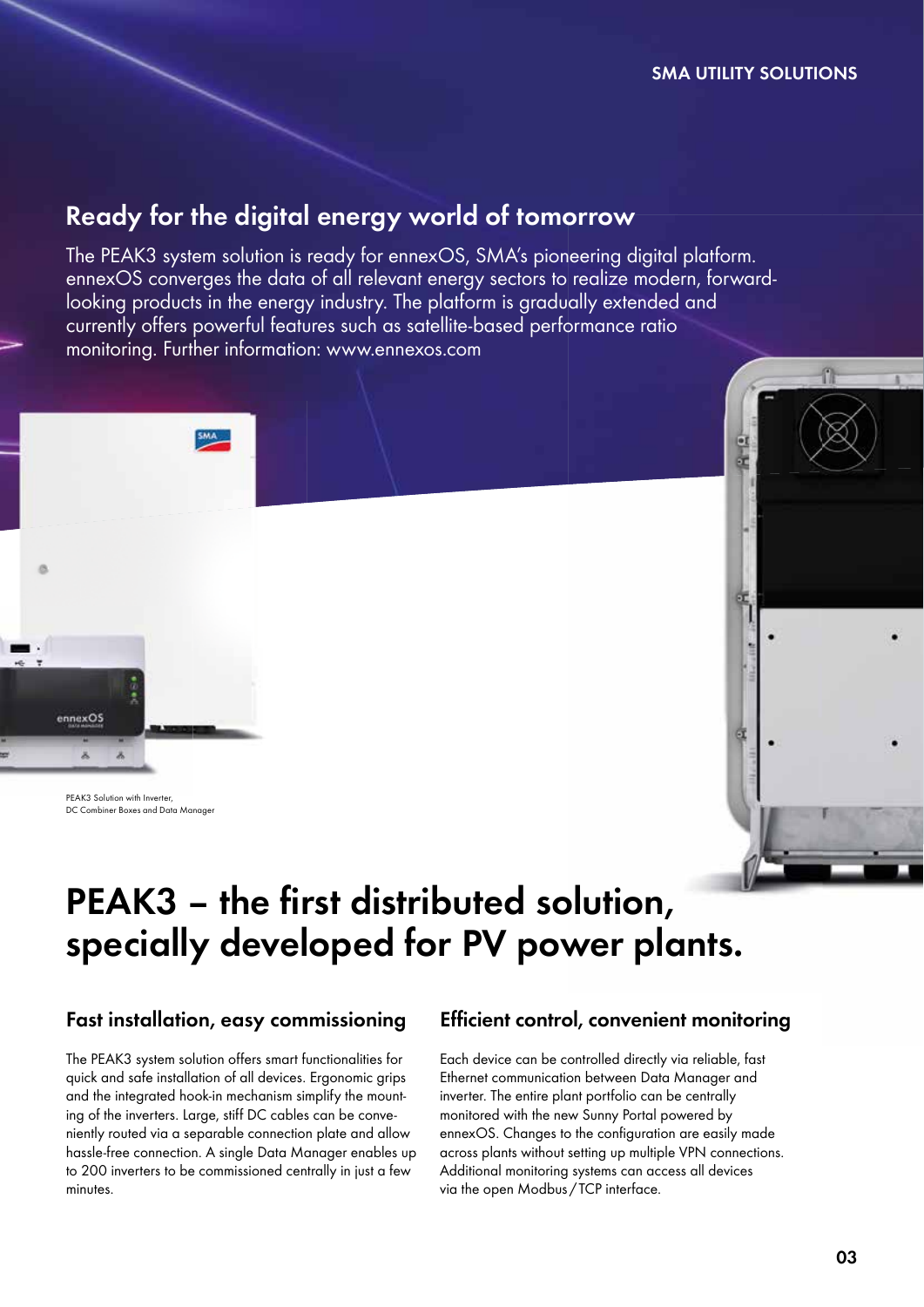#### **SMA UTILITY SOLUTIONS**

## **Ready for the digital energy world of tomorrow**

The PEAK3 system solution is ready for ennexOS, SMA's pioneering digital platform. ennexOS converges the data of all relevant energy sectors to realize modern, forwardlooking products in the energy industry. The platform is gradually extended and currently offers powerful features such as satellite-based performance ratio monitoring. Further information: www.ennexos.com



PEAK3 Solution with Inverter, DC Combiner Boxes and Data Manage



## PEAK3 - the first distributed solution, **specially developed for PV power plants.**

### **Fast installation, easy commissioning**

The PEAK3 system solution offers smart functionalities for quick and safe installation of all devices. Ergonomic grips and the integrated hook-in mechanism simplify the mounting of the inverters. Large, stiff DC cables can be conveniently routed via a separable connection plate and allow hassle-free connection. A single Data Manager enables up to 200 inverters to be commissioned centrally in just a few minutes.

### **Efficient control, convenient monitoring**

Each device can be controlled directly via reliable, fast Ethernet communication between Data Manager and inverter. The entire plant portfolio can be centrally monitored with the new Sunny Portal powered by ennexOS. Changes to the configuration are easily made across plants without setting up multiple VPN connections. Additional monitoring systems can access all devices via the open Modbus / TCP interface.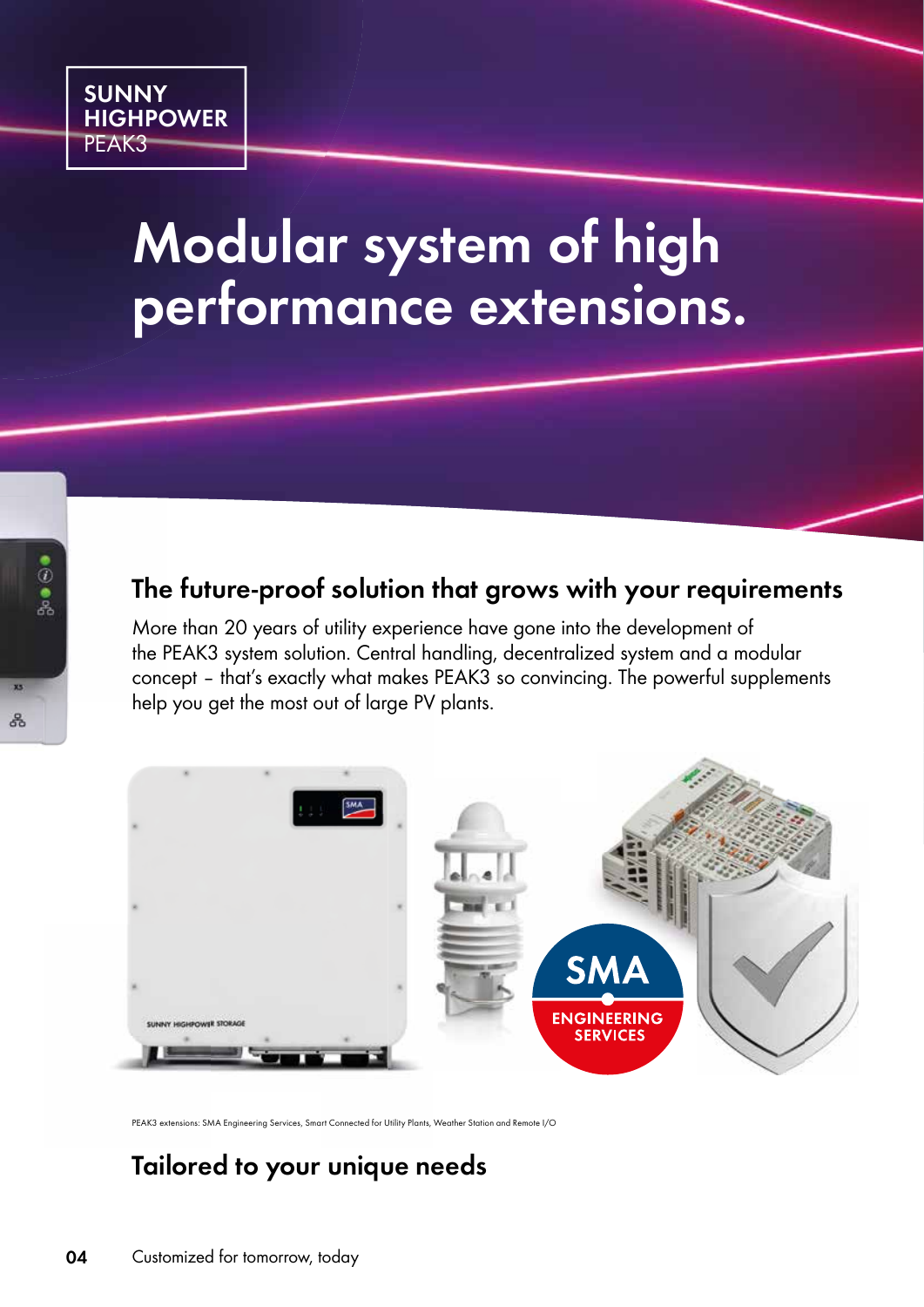

## **Modular system of high performance extensions.**

## **The future-proof solution that grows with your requirements**

More than 20 years of utility experience have gone into the development of the PEAK3 system solution. Central handling, decentralized system and a modular concept – that's exactly what makes PEAK3 so convincing. The powerful supplements help you get the most out of large PV plants.



PEAK3 extensions: SMA Engineering Services, Smart Connected for Utility Plants, Weather Station and Remote I/O

## **Tailored to your unique needs**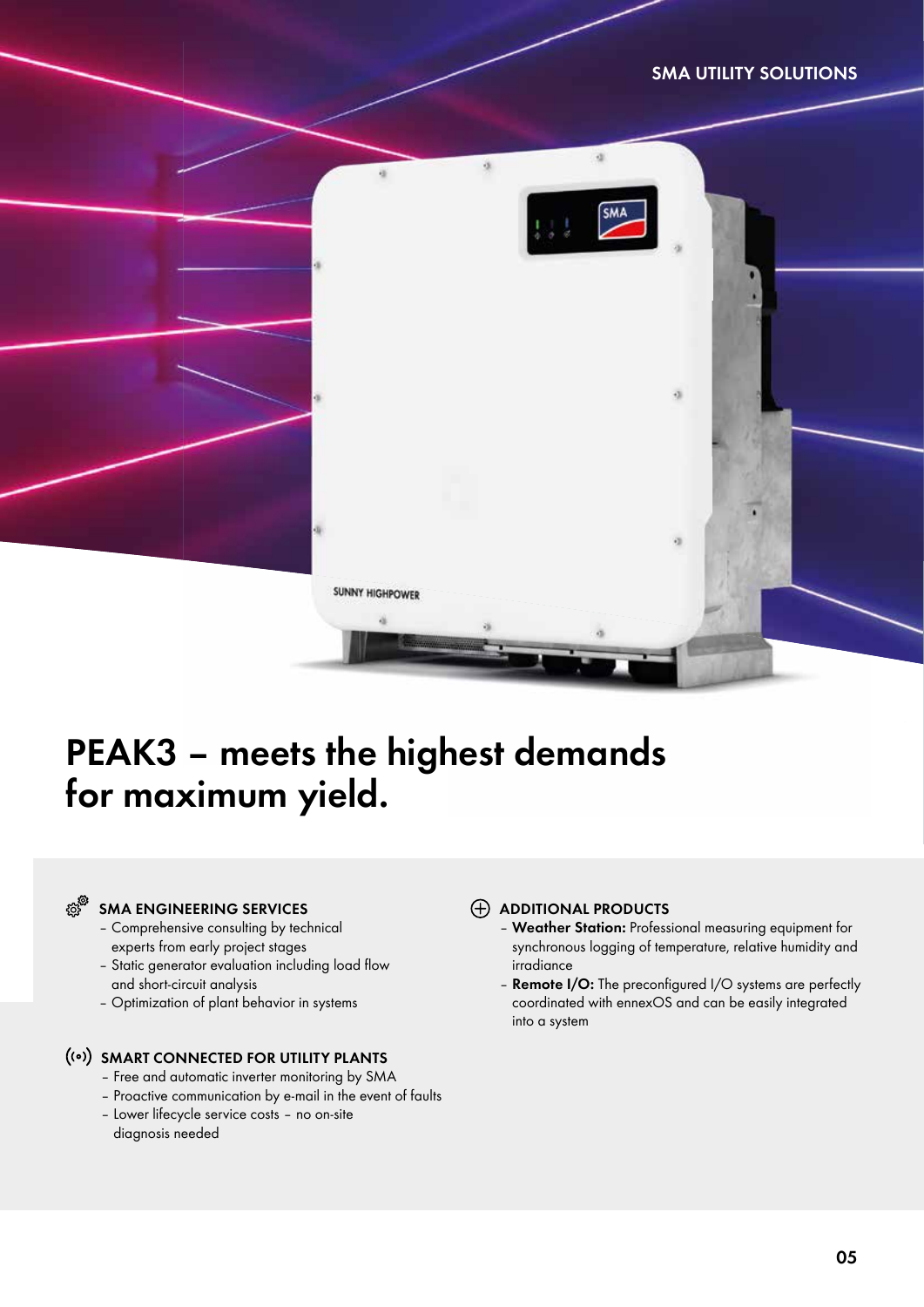#### **SMA UTILITY SOLUTIONS**



## **PEAK3 – meets the highest demands for maximum yield.**

#### දයුසි<br>දයු **SMA ENGINEERING SERVICES**

- Comprehensive consulting by technical experts from early project stages
- Static generator evaluation including load flow and short-circuit analysis
- Optimization of plant behavior in systems

#### **SMART CONNECTED FOR UTILITY PLANTS**

- Free and automatic inverter monitoring by SMA
- Proactive communication by e-mail in the event of faults
- Lower lifecycle service costs no on-site diagnosis needed

#### **ADDITIONAL PRODUCTS**

- **Weather Station:** Professional measuring equipment for synchronous logging of temperature, relative humidity and irradiance
- **Remote I/O:** The preconfigured I/O systems are perfectly coordinated with ennexOS and can be easily integrated into a system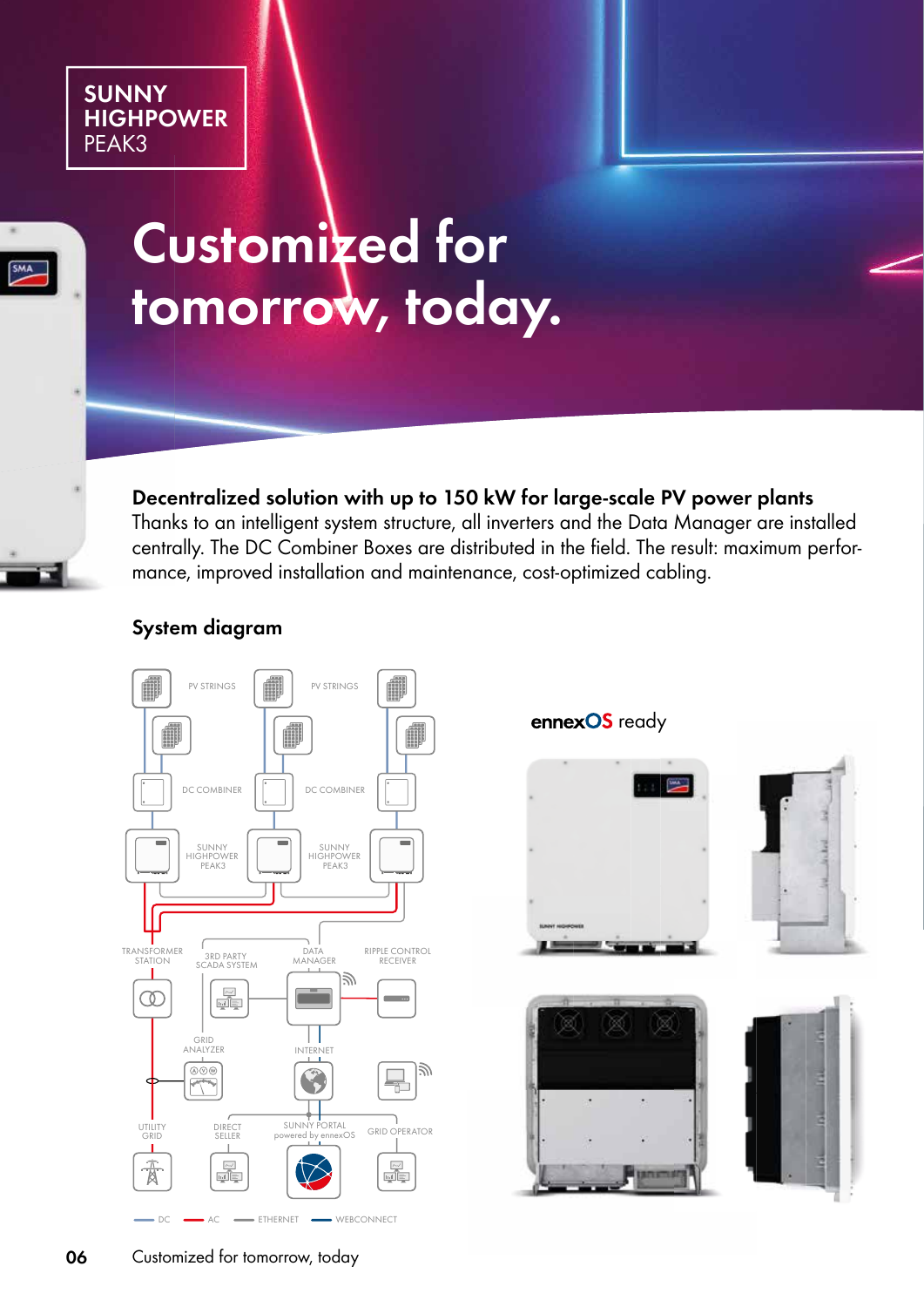### **SUNNY HIGHPOWER** PEAK3



## **Customized for tomorrow, today.**

**Decentralized solution with up to 150 kW for large-scale PV power plants**

Thanks to an intelligent system structure, all inverters and the Data Manager are installed centrally. The DC Combiner Boxes are distributed in the field. The result: maximum performance, improved installation and maintenance, cost-optimized cabling.

### **System diagram**



**ennexOS** ready

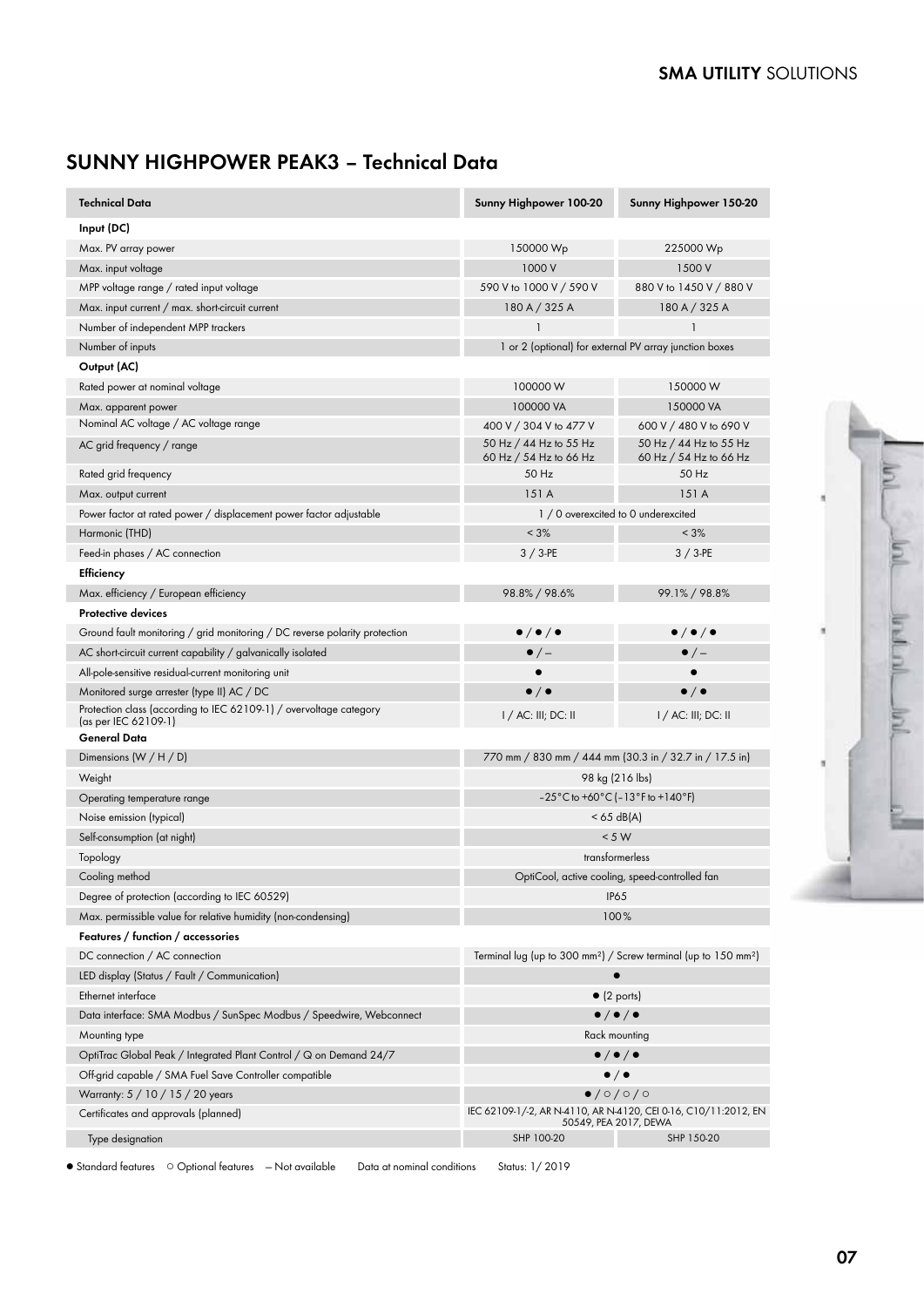## **SUNNY HIGHPOWER PEAK3 – Technical Data**

| Technical Data                                                                             | Sunny Highpower 100-20                                                                 | Sunny Highpower 150-20                                                                   |
|--------------------------------------------------------------------------------------------|----------------------------------------------------------------------------------------|------------------------------------------------------------------------------------------|
| Input (DC)                                                                                 |                                                                                        |                                                                                          |
| Max. PV array power                                                                        | 150000 Wp                                                                              | 225000 Wp                                                                                |
| Max. input voltage                                                                         | 1000 V                                                                                 | 1500 V                                                                                   |
| MPP voltage range / rated input voltage                                                    | 590 V to 1000 V / 590 V                                                                | 880 V to 1450 V / 880 V                                                                  |
| Max. input current / max. short-circuit current                                            | 180 A / 325 A                                                                          | 180 A / 325 A                                                                            |
| Number of independent MPP trackers                                                         |                                                                                        |                                                                                          |
| Number of inputs                                                                           | 1 or 2 (optional) for external PV array junction boxes                                 |                                                                                          |
| Output (AC)                                                                                |                                                                                        |                                                                                          |
| Rated power at nominal voltage                                                             | 100000 W                                                                               | 150000 W                                                                                 |
| Max. apparent power                                                                        | 100000 VA                                                                              | 150000 VA                                                                                |
| Nominal AC voltage / AC voltage range                                                      | 400 V / 304 V to 477 V                                                                 | 600 V / 480 V to 690 V                                                                   |
| AC grid frequency / range                                                                  | 50 Hz / 44 Hz to 55 Hz<br>60 Hz / 54 Hz to 66 Hz                                       | 50 Hz / 44 Hz to 55 Hz<br>60 Hz / 54 Hz to 66 Hz                                         |
| Rated grid frequency                                                                       | 50 Hz                                                                                  | 50 Hz                                                                                    |
| Max. output current                                                                        | 151A                                                                                   | 151A                                                                                     |
| Power factor at rated power / displacement power factor adjustable                         | 1 / 0 overexcited to 0 underexcited                                                    |                                                                                          |
| Harmonic (THD)                                                                             | $< 3\%$                                                                                | $< 3\%$                                                                                  |
| Feed-in phases / AC connection                                                             | $3/3$ -PE                                                                              | $3/3$ -PE                                                                                |
| Efficiency                                                                                 |                                                                                        |                                                                                          |
| Max. efficiency / European efficiency                                                      | 98.8% / 98.6%                                                                          | 99.1% / 98.8%                                                                            |
| <b>Protective devices</b>                                                                  |                                                                                        |                                                                                          |
| Ground fault monitoring / grid monitoring / DC reverse polarity protection                 | $\bullet$ / $\bullet$ / $\bullet$                                                      | $\bullet$ / $\bullet$ / $\bullet$                                                        |
| AC short-circuit current capability / galvanically isolated                                | $\bullet$ / $-$                                                                        | $\bullet$ / $-$                                                                          |
| All-pole-sensitive residual-current monitoring unit                                        | $\bullet$                                                                              | $\bullet$                                                                                |
| Monitored surge arrester (type II) AC / DC                                                 | $\bullet$ / $\bullet$                                                                  | $\bullet$ / $\bullet$                                                                    |
| Protection class (according to IEC 62109-1) / overvoltage category<br>(as per IEC 62109-1) | I / AC: III; DC: II                                                                    | $1/$ AC: III; DC: II                                                                     |
| General Data                                                                               |                                                                                        |                                                                                          |
| Dimensions $(W/H/D)$                                                                       | 770 mm / 830 mm / 444 mm (30.3 in / 32.7 in / 17.5 in)                                 |                                                                                          |
| Weight                                                                                     | 98 kg (216 lbs)                                                                        |                                                                                          |
| Operating temperature range                                                                | $-25\degree$ C to +60 $\degree$ C ( $-13\degree$ F to +140 $\degree$ F)                |                                                                                          |
| Noise emission (typical)                                                                   | $<$ 65 dB(A)                                                                           |                                                                                          |
| Self-consumption (at night)                                                                | < 5 W                                                                                  |                                                                                          |
| Topology                                                                                   | transformerless                                                                        |                                                                                          |
| Cooling method                                                                             | OptiCool, active cooling, speed-controlled fan                                         |                                                                                          |
| Degree of protection (according to IEC 60529)                                              | <b>IP65</b>                                                                            |                                                                                          |
| Max. permissible value for relative humidity (non-condensing)                              | 100%                                                                                   |                                                                                          |
| Features / function / accessories                                                          |                                                                                        |                                                                                          |
| DC connection / AC connection                                                              | Terminal lug (up to 300 mm <sup>2</sup> ) / Screw terminal (up to $150 \text{ mm}^2$ ) |                                                                                          |
| LED display (Status / Fault / Communication)                                               | $\bullet$                                                                              |                                                                                          |
| Ethernet interface                                                                         | $\bullet$ (2 ports)                                                                    |                                                                                          |
| Data interface: SMA Modbus / SunSpec Modbus / Speedwire, Webconnect                        | $\bullet/\bullet/\bullet$                                                              |                                                                                          |
| Mounting type                                                                              | Rack mounting                                                                          |                                                                                          |
| OptiTrac Global Peak / Integrated Plant Control / $\alpha$ on Demand 24/7                  | $\bullet / \bullet / \bullet$                                                          |                                                                                          |
| Off-grid capable / SMA Fuel Save Controller compatible                                     | $\bullet/\bullet$                                                                      |                                                                                          |
| Warranty: 5 / 10 / 15 / 20 years                                                           | $\bullet$ /0/0/0                                                                       |                                                                                          |
| Certificates and approvals (planned)                                                       |                                                                                        | IEC 62109-1/-2, AR N-4110, AR N-4120, CEI 0-16, C10/11:2012, EN<br>50549, PEA 2017, DEWA |
| Type designation                                                                           | SHP 100-20                                                                             | SHP 150-20                                                                               |

● Standard features ○ Optional features – Not available Data at nominal conditions Status: 1/2019